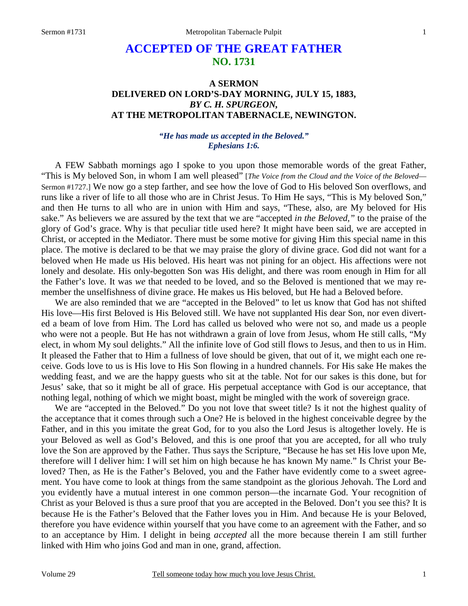## **ACCEPTED OF THE GREAT FATHER NO. 1731**

## **A SERMON DELIVERED ON LORD'S-DAY MORNING, JULY 15, 1883,**  *BY C. H. SPURGEON,*  **AT THE METROPOLITAN TABERNACLE, NEWINGTON.**

## *"He has made us accepted in the Beloved." Ephesians 1:6.*

A FEW Sabbath mornings ago I spoke to you upon those memorable words of the great Father, "This is My beloved Son, in whom I am well pleased" [*The Voice from the Cloud and the Voice of the Beloved*— Sermon #1727.] We now go a step farther, and see how the love of God to His beloved Son overflows, and runs like a river of life to all those who are in Christ Jesus. To Him He says, "This is My beloved Son," and then He turns to all who are in union with Him and says, "These, also, are My beloved for His sake." As believers we are assured by the text that we are "accepted *in the Beloved,"* to the praise of the glory of God's grace. Why is that peculiar title used here? It might have been said, we are accepted in Christ, or accepted in the Mediator. There must be some motive for giving Him this special name in this place. The motive is declared to be that we may praise the glory of divine grace. God did not want for a beloved when He made us His beloved. His heart was not pining for an object. His affections were not lonely and desolate. His only-begotten Son was His delight, and there was room enough in Him for all the Father's love. It was *we* that needed to be loved, and so the Beloved is mentioned that we may remember the unselfishness of divine grace. He makes us His beloved, but He had a Beloved before.

 We are also reminded that we are "accepted in the Beloved" to let us know that God has not shifted His love—His first Beloved is His Beloved still. We have not supplanted His dear Son, nor even diverted a beam of love from Him. The Lord has called us beloved who were not so, and made us a people who were not a people. But He has not withdrawn a grain of love from Jesus, whom He still calls, "My elect, in whom My soul delights." All the infinite love of God still flows to Jesus, and then to us in Him. It pleased the Father that to Him a fullness of love should be given, that out of it, we might each one receive. Gods love to us is His love to His Son flowing in a hundred channels. For His sake He makes the wedding feast, and we are the happy guests who sit at the table. Not for our sakes is this done, but for Jesus' sake, that so it might be all of grace. His perpetual acceptance with God is our acceptance, that nothing legal, nothing of which we might boast, might be mingled with the work of sovereign grace.

We are "accepted in the Beloved." Do you not love that sweet title? Is it not the highest quality of the acceptance that it comes through such a One? He is beloved in the highest conceivable degree by the Father, and in this you imitate the great God, for to you also the Lord Jesus is altogether lovely. He is your Beloved as well as God's Beloved, and this is one proof that you are accepted, for all who truly love the Son are approved by the Father. Thus says the Scripture, "Because he has set His love upon Me, therefore will I deliver him: I will set him on high because he has known My name." Is Christ your Beloved? Then, as He is the Father's Beloved, you and the Father have evidently come to a sweet agreement. You have come to look at things from the same standpoint as the glorious Jehovah. The Lord and you evidently have a mutual interest in one common person—the incarnate God. Your recognition of Christ as your Beloved is thus a sure proof that you are accepted in the Beloved. Don't you see this? It is because He is the Father's Beloved that the Father loves you in Him. And because He is your Beloved, therefore you have evidence within yourself that you have come to an agreement with the Father, and so to an acceptance by Him. I delight in being *accepted* all the more because therein I am still further linked with Him who joins God and man in one, grand, affection.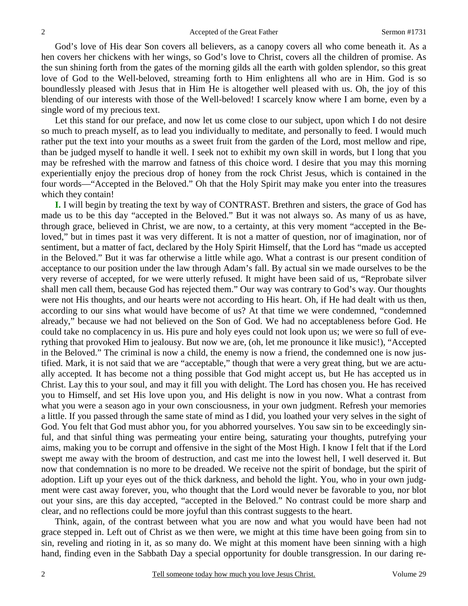God's love of His dear Son covers all believers, as a canopy covers all who come beneath it. As a hen covers her chickens with her wings, so God's love to Christ, covers all the children of promise. As the sun shining forth from the gates of the morning gilds all the earth with golden splendor, so this great love of God to the Well-beloved, streaming forth to Him enlightens all who are in Him. God is so boundlessly pleased with Jesus that in Him He is altogether well pleased with us. Oh, the joy of this blending of our interests with those of the Well-beloved! I scarcely know where I am borne, even by a single word of my precious text.

 Let this stand for our preface, and now let us come close to our subject, upon which I do not desire so much to preach myself, as to lead you individually to meditate, and personally to feed. I would much rather put the text into your mouths as a sweet fruit from the garden of the Lord, most mellow and ripe, than be judged myself to handle it well. I seek not to exhibit my own skill in words, but I long that you may be refreshed with the marrow and fatness of this choice word. I desire that you may this morning experientially enjoy the precious drop of honey from the rock Christ Jesus, which is contained in the four words—"Accepted in the Beloved." Oh that the Holy Spirit may make you enter into the treasures which they contain!

**I.** I will begin by treating the text by way of CONTRAST. Brethren and sisters, the grace of God has made us to be this day "accepted in the Beloved." But it was not always so. As many of us as have, through grace, believed in Christ, we are now, to a certainty, at this very moment "accepted in the Beloved," but in times past it was very different. It is not a matter of question, nor of imagination, nor of sentiment, but a matter of fact, declared by the Holy Spirit Himself, that the Lord has "made us accepted in the Beloved." But it was far otherwise a little while ago. What a contrast is our present condition of acceptance to our position under the law through Adam's fall. By actual sin we made ourselves to be the very reverse of accepted, for we were utterly refused. It might have been said of us, "Reprobate silver shall men call them, because God has rejected them." Our way was contrary to God's way. Our thoughts were not His thoughts, and our hearts were not according to His heart. Oh, if He had dealt with us then, according to our sins what would have become of us? At that time we were condemned, "condemned already," because we had not believed on the Son of God. We had no acceptableness before God. He could take no complacency in us. His pure and holy eyes could not look upon us; we were so full of everything that provoked Him to jealousy. But now we are, (oh, let me pronounce it like music!), "Accepted in the Beloved." The criminal is now a child, the enemy is now a friend, the condemned one is now justified. Mark, it is not said that we are "acceptable," though that were a very great thing, but we are actually accepted*.* It has become not a thing possible that God might accept us, but He has accepted us in Christ. Lay this to your soul, and may it fill you with delight. The Lord has chosen you. He has received you to Himself, and set His love upon you, and His delight is now in you now. What a contrast from what you were a season ago in your own consciousness, in your own judgment. Refresh your memories a little. If you passed through the same state of mind as I did, you loathed your very selves in the sight of God. You felt that God must abhor you, for you abhorred yourselves. You saw sin to be exceedingly sinful, and that sinful thing was permeating your entire being, saturating your thoughts, putrefying your aims, making you to be corrupt and offensive in the sight of the Most High. I know I felt that if the Lord swept me away with the broom of destruction, and cast me into the lowest hell, I well deserved it. But now that condemnation is no more to be dreaded. We receive not the spirit of bondage, but the spirit of adoption. Lift up your eyes out of the thick darkness, and behold the light. You, who in your own judgment were cast away forever, you, who thought that the Lord would never be favorable to you, nor blot out your sins, are this day accepted, "accepted in the Beloved." No contrast could be more sharp and clear, and no reflections could be more joyful than this contrast suggests to the heart.

 Think, again, of the contrast between what you are now and what you would have been had not grace stepped in. Left out of Christ as we then were, we might at this time have been going from sin to sin, reveling and rioting in it, as so many do. We might at this moment have been sinning with a high hand, finding even in the Sabbath Day a special opportunity for double transgression. In our daring re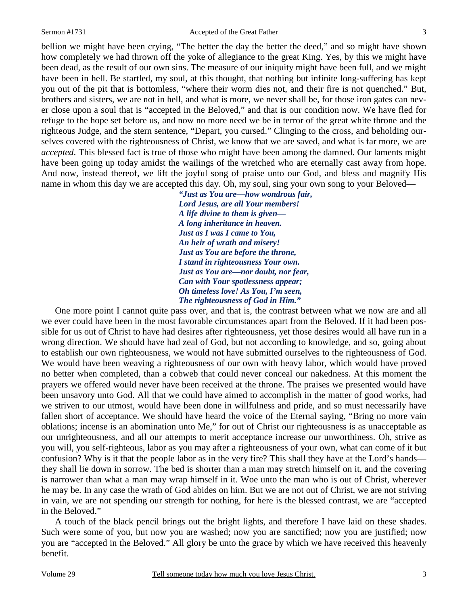bellion we might have been crying, "The better the day the better the deed," and so might have shown how completely we had thrown off the yoke of allegiance to the great King. Yes, by this we might have been dead, as the result of our own sins. The measure of our iniquity might have been full, and we might have been in hell. Be startled, my soul, at this thought, that nothing but infinite long-suffering has kept you out of the pit that is bottomless, "where their worm dies not, and their fire is not quenched." But, brothers and sisters, we are not in hell, and what is more, we never shall be, for those iron gates can never close upon a soul that is "accepted in the Beloved," and that is our condition now. We have fled for refuge to the hope set before us, and now no more need we be in terror of the great white throne and the righteous Judge, and the stern sentence, "Depart, you cursed." Clinging to the cross, and beholding ourselves covered with the righteousness of Christ, we know that we are saved, and what is far more, we are *accepted*. This blessed fact is true of those who might have been among the damned. Our laments might have been going up today amidst the wailings of the wretched who are eternally cast away from hope. And now, instead thereof, we lift the joyful song of praise unto our God, and bless and magnify His name in whom this day we are accepted this day. Oh, my soul, sing your own song to your Beloved—

> *"Just as You are—how wondrous fair, Lord Jesus, are all Your members! A life divine to them is given— A long inheritance in heaven. Just as I was I came to You, An heir of wrath and misery! Just as You are before the throne, I stand in righteousness Your own. Just as You are—nor doubt, nor fear, Can with Your spotlessness appear; Oh timeless love! As You, I'm seen, The righteousness of God in Him."*

One more point I cannot quite pass over, and that is, the contrast between what we now are and all we ever could have been in the most favorable circumstances apart from the Beloved. If it had been possible for us out of Christ to have had desires after righteousness, yet those desires would all have run in a wrong direction. We should have had zeal of God, but not according to knowledge, and so, going about to establish our own righteousness, we would not have submitted ourselves to the righteousness of God. We would have been weaving a righteousness of our own with heavy labor, which would have proved no better when completed, than a cobweb that could never conceal our nakedness. At this moment the prayers we offered would never have been received at the throne. The praises we presented would have been unsavory unto God. All that we could have aimed to accomplish in the matter of good works, had we striven to our utmost, would have been done in willfulness and pride, and so must necessarily have fallen short of acceptance. We should have heard the voice of the Eternal saying, "Bring no more vain oblations; incense is an abomination unto Me," for out of Christ our righteousness is as unacceptable as our unrighteousness, and all our attempts to merit acceptance increase our unworthiness. Oh, strive as you will, you self-righteous, labor as you may after a righteousness of your own, what can come of it but confusion? Why is it that the people labor as in the very fire? This shall they have at the Lord's hands they shall lie down in sorrow. The bed is shorter than a man may stretch himself on it, and the covering is narrower than what a man may wrap himself in it. Woe unto the man who is out of Christ, wherever he may be. In any case the wrath of God abides on him. But we are not out of Christ, we are not striving in vain, we are not spending our strength for nothing, for here is the blessed contrast, we are "accepted in the Beloved."

 A touch of the black pencil brings out the bright lights, and therefore I have laid on these shades. Such were some of you, but now you are washed; now you are sanctified; now you are justified; now you are "accepted in the Beloved." All glory be unto the grace by which we have received this heavenly benefit.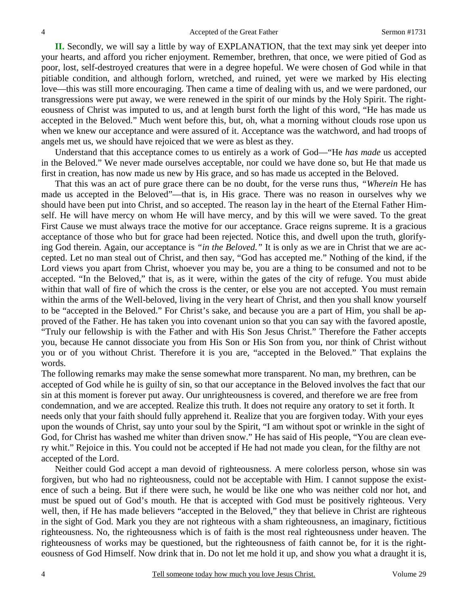**II.** Secondly, we will say a little by way of EXPLANATION, that the text may sink yet deeper into your hearts, and afford you richer enjoyment. Remember, brethren, that once, we were pitied of God as poor, lost, self-destroyed creatures that were in a degree hopeful. We were chosen of God while in that pitiable condition, and although forlorn, wretched, and ruined, yet were we marked by His electing love—this was still more encouraging. Then came a time of dealing with us, and we were pardoned, our transgressions were put away, we were renewed in the spirit of our minds by the Holy Spirit. The righteousness of Christ was imputed to us, and at length burst forth the light of this word, "He has made us accepted in the Beloved." Much went before this, but, oh, what a morning without clouds rose upon us when we knew our acceptance and were assured of it. Acceptance was the watchword, and had troops of angels met us, we should have rejoiced that we were as blest as they.

 Understand that this acceptance comes to us entirely as a work of God—"He *has made* us accepted in the Beloved." We never made ourselves acceptable, nor could we have done so, but He that made us first in creation, has now made us new by His grace, and so has made us accepted in the Beloved.

 That this was an act of pure grace there can be no doubt, for the verse runs thus, *"Wherein* He has made us accepted in the Beloved"—that is, in His grace. There was no reason in ourselves why we should have been put into Christ, and so accepted. The reason lay in the heart of the Eternal Father Himself. He will have mercy on whom He will have mercy, and by this will we were saved. To the great First Cause we must always trace the motive for our acceptance. Grace reigns supreme. It is a gracious acceptance of those who but for grace had been rejected. Notice this, and dwell upon the truth, glorifying God therein. Again, our acceptance is *"in the Beloved."* It is only as we are in Christ that we are accepted. Let no man steal out of Christ, and then say, "God has accepted me." Nothing of the kind, if the Lord views you apart from Christ, whoever you may be, you are a thing to be consumed and not to be accepted. "In the Beloved," that is, as it were, within the gates of the city of refuge. You must abide within that wall of fire of which the cross is the center, or else you are not accepted. You must remain within the arms of the Well-beloved, living in the very heart of Christ, and then you shall know yourself to be "accepted in the Beloved." For Christ's sake, and because you are a part of Him, you shall be approved of the Father. He has taken you into covenant union so that you can say with the favored apostle, "Truly our fellowship is with the Father and with His Son Jesus Christ." Therefore the Father accepts you, because He cannot dissociate you from His Son or His Son from you, nor think of Christ without you or of you without Christ. Therefore it is you are, "accepted in the Beloved." That explains the words.

The following remarks may make the sense somewhat more transparent. No man, my brethren, can be accepted of God while he is guilty of sin, so that our acceptance in the Beloved involves the fact that our sin at this moment is forever put away. Our unrighteousness is covered, and therefore we are free from condemnation, and we are accepted. Realize this truth. It does not require any oratory to set it forth. It needs only that your faith should fully apprehend it. Realize that you are forgiven today. With your eyes upon the wounds of Christ, say unto your soul by the Spirit, "I am without spot or wrinkle in the sight of God, for Christ has washed me whiter than driven snow." He has said of His people, "You are clean every whit." Rejoice in this. You could not be accepted if He had not made you clean, for the filthy are not accepted of the Lord.

 Neither could God accept a man devoid of righteousness. A mere colorless person, whose sin was forgiven, but who had no righteousness, could not be acceptable with Him. I cannot suppose the existence of such a being. But if there were such, he would be like one who was neither cold nor hot, and must be spued out of God's mouth. He that is accepted with God must be positively righteous. Very well, then, if He has made believers "accepted in the Beloved," they that believe in Christ are righteous in the sight of God. Mark you they are not righteous with a sham righteousness, an imaginary, fictitious righteousness. No, the righteousness which is of faith is the most real righteousness under heaven. The righteousness of works may be questioned, but the righteousness of faith cannot be, for it is the righteousness of God Himself. Now drink that in. Do not let me hold it up, and show you what a draught it is,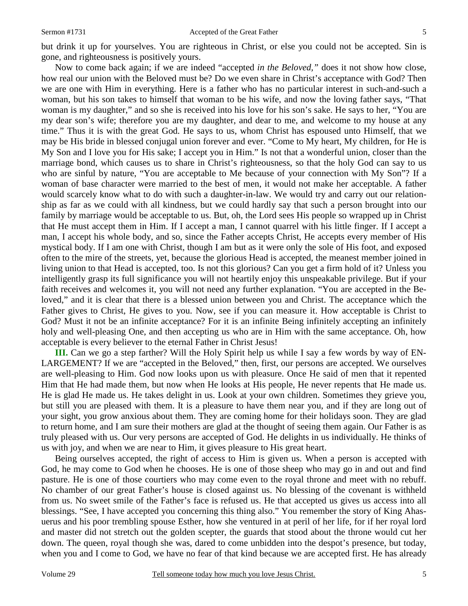but drink it up for yourselves. You are righteous in Christ, or else you could not be accepted. Sin is gone, and righteousness is positively yours.

 Now to come back again; if we are indeed "accepted *in the Beloved,"* does it not show how close, how real our union with the Beloved must be? Do we even share in Christ's acceptance with God? Then we are one with Him in everything. Here is a father who has no particular interest in such-and-such a woman, but his son takes to himself that woman to be his wife, and now the loving father says, "That woman is my daughter," and so she is received into his love for his son's sake. He says to her, "You are my dear son's wife; therefore you are my daughter, and dear to me, and welcome to my house at any time." Thus it is with the great God. He says to us, whom Christ has espoused unto Himself, that we may be His bride in blessed conjugal union forever and ever. "Come to My heart, My children, for He is My Son and I love you for His sake; I accept you in Him." Is not that a wonderful union, closer than the marriage bond, which causes us to share in Christ's righteousness, so that the holy God can say to us who are sinful by nature, "You are acceptable to Me because of your connection with My Son"? If a woman of base character were married to the best of men, it would not make her acceptable. A father would scarcely know what to do with such a daughter-in-law. We would try and carry out our relationship as far as we could with all kindness, but we could hardly say that such a person brought into our family by marriage would be acceptable to us. But, oh, the Lord sees His people so wrapped up in Christ that He must accept them in Him. If I accept a man, I cannot quarrel with his little finger. If I accept a man, I accept his whole body, and so, since the Father accepts Christ, He accepts every member of His mystical body. If I am one with Christ, though I am but as it were only the sole of His foot, and exposed often to the mire of the streets, yet, because the glorious Head is accepted, the meanest member joined in living union to that Head is accepted, too. Is not this glorious? Can you get a firm hold of it? Unless you intelligently grasp its full significance you will not heartily enjoy this unspeakable privilege. But if your faith receives and welcomes it, you will not need any further explanation. "You are accepted in the Beloved," and it is clear that there is a blessed union between you and Christ. The acceptance which the Father gives to Christ, He gives to you. Now, see if you can measure it. How acceptable is Christ to God? Must it not be an infinite acceptance? For it is an infinite Being infinitely accepting an infinitely holy and well-pleasing One, and then accepting us who are in Him with the same acceptance. Oh, how acceptable is every believer to the eternal Father in Christ Jesus!

**III.** Can we go a step farther? Will the Holy Spirit help us while I say a few words by way of EN-LARGEMENT? If we are "accepted in the Beloved," then, first, our persons are accepted. We ourselves are well-pleasing to Him. God now looks upon us with pleasure. Once He said of men that it repented Him that He had made them, but now when He looks at His people, He never repents that He made us. He is glad He made us. He takes delight in us. Look at your own children. Sometimes they grieve you, but still you are pleased with them. It is a pleasure to have them near you, and if they are long out of your sight, you grow anxious about them. They are coming home for their holidays soon. They are glad to return home, and I am sure their mothers are glad at the thought of seeing them again. Our Father is as truly pleased with us. Our very persons are accepted of God. He delights in us individually. He thinks of us with joy, and when we are near to Him, it gives pleasure to His great heart.

 Being ourselves accepted, the right of access to Him is given us. When a person is accepted with God, he may come to God when he chooses. He is one of those sheep who may go in and out and find pasture. He is one of those courtiers who may come even to the royal throne and meet with no rebuff. No chamber of our great Father's house is closed against us. No blessing of the covenant is withheld from us. No sweet smile of the Father's face is refused us. He that accepted us gives us access into all blessings. "See, I have accepted you concerning this thing also." You remember the story of King Ahasuerus and his poor trembling spouse Esther, how she ventured in at peril of her life, for if her royal lord and master did not stretch out the golden scepter, the guards that stood about the throne would cut her down. The queen, royal though she was, dared to come unbidden into the despot's presence, but today, when you and I come to God, we have no fear of that kind because we are accepted first. He has already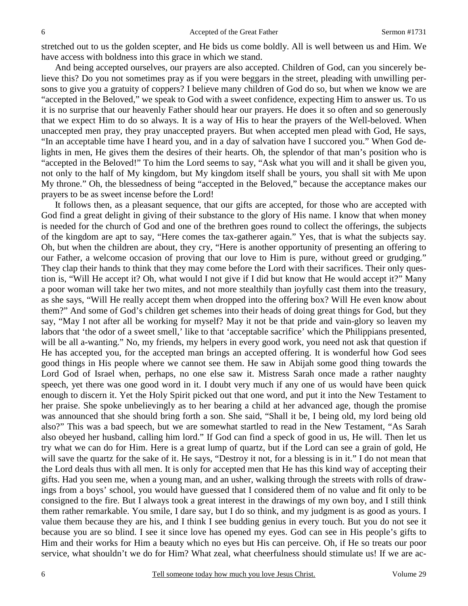stretched out to us the golden scepter, and He bids us come boldly. All is well between us and Him. We have access with boldness into this grace in which we stand.

 And being accepted ourselves, our prayers are also accepted. Children of God, can you sincerely believe this? Do you not sometimes pray as if you were beggars in the street, pleading with unwilling persons to give you a gratuity of coppers? I believe many children of God do so, but when we know we are "accepted in the Beloved," we speak to God with a sweet confidence, expecting Him to answer us. To us it is no surprise that our heavenly Father should hear our prayers. He does it so often and so generously that we expect Him to do so always. It is a way of His to hear the prayers of the Well-beloved. When unaccepted men pray, they pray unaccepted prayers. But when accepted men plead with God, He says, "In an acceptable time have I heard you, and in a day of salvation have I succored you." When God delights in men, He gives them the desires of their hearts. Oh, the splendor of that man's position who is "accepted in the Beloved!" To him the Lord seems to say, "Ask what you will and it shall be given you, not only to the half of My kingdom, but My kingdom itself shall be yours, you shall sit with Me upon My throne." Oh, the blessedness of being "accepted in the Beloved," because the acceptance makes our prayers to be as sweet incense before the Lord!

 It follows then, as a pleasant sequence, that our gifts are accepted, for those who are accepted with God find a great delight in giving of their substance to the glory of His name. I know that when money is needed for the church of God and one of the brethren goes round to collect the offerings, the subjects of the kingdom are apt to say, "Here comes the tax-gatherer again." Yes, that is what the subjects say. Oh, but when the children are about, they cry, "Here is another opportunity of presenting an offering to our Father, a welcome occasion of proving that our love to Him is pure, without greed or grudging." They clap their hands to think that they may come before the Lord with their sacrifices. Their only question is, "Will He accept it? Oh, what would I not give if I did but know that He would accept it?" Many a poor woman will take her two mites, and not more stealthily than joyfully cast them into the treasury, as she says, "Will He really accept them when dropped into the offering box? Will He even know about them?" And some of God's children get schemes into their heads of doing great things for God, but they say, "May I not after all be working for myself? May it not be that pride and vain-glory so leaven my labors that 'the odor of a sweet smell,' like to that 'acceptable sacrifice' which the Philippians presented, will be all a-wanting." No, my friends, my helpers in every good work, you need not ask that question if He has accepted you, for the accepted man brings an accepted offering. It is wonderful how God sees good things in His people where we cannot see them. He saw in Abijah some good thing towards the Lord God of Israel when, perhaps, no one else saw it. Mistress Sarah once made a rather naughty speech, yet there was one good word in it. I doubt very much if any one of us would have been quick enough to discern it. Yet the Holy Spirit picked out that one word, and put it into the New Testament to her praise. She spoke unbelievingly as to her bearing a child at her advanced age, though the promise was announced that she should bring forth a son. She said, "Shall it be, I being old, my lord being old also?" This was a bad speech, but we are somewhat startled to read in the New Testament, "As Sarah also obeyed her husband, calling him lord." If God can find a speck of good in us, He will. Then let us try what we can do for Him. Here is a great lump of quartz, but if the Lord can see a grain of gold, He will save the quartz for the sake of it. He says, "Destroy it not, for a blessing is in it." I do not mean that the Lord deals thus with all men. It is only for accepted men that He has this kind way of accepting their gifts. Had you seen me, when a young man, and an usher, walking through the streets with rolls of drawings from a boys' school, you would have guessed that I considered them of no value and fit only to be consigned to the fire. But I always took a great interest in the drawings of my own boy, and I still think them rather remarkable. You smile, I dare say, but I do so think, and my judgment is as good as yours. I value them because they are his, and I think I see budding genius in every touch. But you do not see it because you are so blind. I see it since love has opened my eyes. God can see in His people's gifts to Him and their works for Him a beauty which no eyes but His can perceive. Oh, if He so treats our poor service, what shouldn't we do for Him? What zeal, what cheerfulness should stimulate us! If we are ac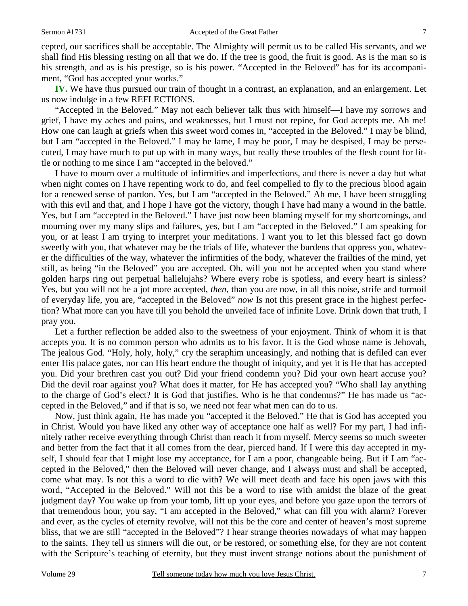cepted, our sacrifices shall be acceptable. The Almighty will permit us to be called His servants, and we shall find His blessing resting on all that we do. If the tree is good, the fruit is good. As is the man so is his strength, and as is his prestige, so is his power. "Accepted in the Beloved" has for its accompaniment, "God has accepted your works."

**IV.** We have thus pursued our train of thought in a contrast, an explanation, and an enlargement. Let us now indulge in a few REFLECTIONS.

 "Accepted in the Beloved." May not each believer talk thus with himself—I have my sorrows and grief, I have my aches and pains, and weaknesses, but I must not repine, for God accepts me. Ah me! How one can laugh at griefs when this sweet word comes in, "accepted in the Beloved." I may be blind, but I am "accepted in the Beloved." I may be lame, I may be poor, I may be despised, I may be persecuted, I may have much to put up with in many ways, but really these troubles of the flesh count for little or nothing to me since I am "accepted in the beloved."

 I have to mourn over a multitude of infirmities and imperfections, and there is never a day but what when night comes on I have repenting work to do, and feel compelled to fly to the precious blood again for a renewed sense of pardon. Yes, but I am "accepted in the Beloved." Ah me, I have been struggling with this evil and that, and I hope I have got the victory, though I have had many a wound in the battle. Yes, but I am "accepted in the Beloved." I have just now been blaming myself for my shortcomings, and mourning over my many slips and failures, yes, but I am "accepted in the Beloved." I am speaking for you, or at least I am trying to interpret your meditations. I want you to let this blessed fact go down sweetly with you, that whatever may be the trials of life, whatever the burdens that oppress you, whatever the difficulties of the way, whatever the infirmities of the body, whatever the frailties of the mind, yet still, as being "in the Beloved" you are accepted. Oh, will you not be accepted when you stand where golden harps ring out perpetual hallelujahs? Where every robe is spotless, and every heart is sinless? Yes, but you will not be a jot more accepted, *then*, than you are now, in all this noise, strife and turmoil of everyday life, you are, "accepted in the Beloved" *now* Is not this present grace in the highest perfection? What more can you have till you behold the unveiled face of infinite Love. Drink down that truth, I pray you.

 Let a further reflection be added also to the sweetness of your enjoyment. Think of whom it is that accepts you. It is no common person who admits us to his favor. It is the God whose name is Jehovah, The jealous God. "Holy, holy, holy," cry the seraphim unceasingly, and nothing that is defiled can ever enter His palace gates, nor can His heart endure the thought of iniquity, and yet it is He that has accepted you. Did your brethren cast you out? Did your friend condemn you? Did your own heart accuse you? Did the devil roar against you? What does it matter, for He has accepted you? "Who shall lay anything to the charge of God's elect? It is God that justifies. Who is he that condemns?" He has made us "accepted in the Beloved," and if that is so, we need not fear what men can do to us.

 Now, just think again, He has made you "accepted it the Beloved." He that is God has accepted you in Christ. Would you have liked any other way of acceptance one half as well? For my part, I had infinitely rather receive everything through Christ than reach it from myself. Mercy seems so much sweeter and better from the fact that it all comes from the dear, pierced hand. If I were this day accepted in myself, I should fear that I might lose my acceptance, for I am a poor, changeable being. But if I am "accepted in the Beloved," then the Beloved will never change, and I always must and shall be accepted, come what may. Is not this a word to die with? We will meet death and face his open jaws with this word, "Accepted in the Beloved." Will not this be a word to rise with amidst the blaze of the great judgment day? You wake up from your tomb, lift up your eyes, and before you gaze upon the terrors of that tremendous hour, you say, "I am accepted in the Beloved," what can fill you with alarm? Forever and ever, as the cycles of eternity revolve, will not this be the core and center of heaven's most supreme bliss, that we are still "accepted in the Beloved"? I hear strange theories nowadays of what may happen to the saints. They tell us sinners will die out, or be restored, or something else, for they are not content with the Scripture's teaching of eternity, but they must invent strange notions about the punishment of